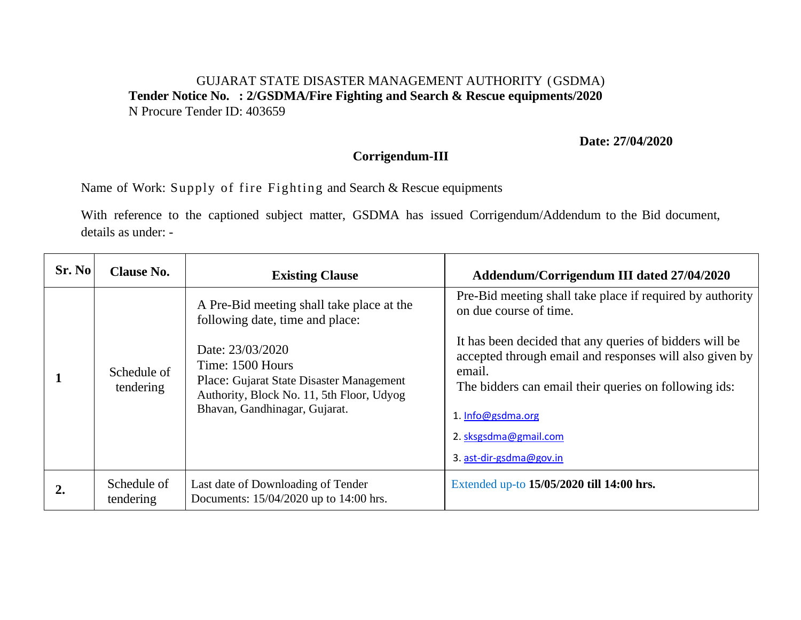## GUJARAT STATE DISASTER MANAGEMENT AUTHORITY (GSDMA) **Tender Notice No. : 2/GSDMA/Fire Fighting and Search & Rescue equipments/2020**  N Procure Tender ID: 403659

## **Date: 27/04/2020**

## **Corrigendum-III**

Name of Work: Supply of fire Fighting and Search & Rescue equipments

With reference to the captioned subject matter, GSDMA has issued Corrigendum/Addendum to the Bid document, details as under: -

| Sr. No | <b>Clause No.</b>        | <b>Existing Clause</b>                                                                                                                                         | Addendum/Corrigendum III dated 27/04/2020                                                                                                                                             |
|--------|--------------------------|----------------------------------------------------------------------------------------------------------------------------------------------------------------|---------------------------------------------------------------------------------------------------------------------------------------------------------------------------------------|
|        | Schedule of<br>tendering | A Pre-Bid meeting shall take place at the<br>following date, time and place:                                                                                   | Pre-Bid meeting shall take place if required by authority<br>on due course of time.                                                                                                   |
|        |                          | Date: 23/03/2020<br>Time: 1500 Hours<br>Place: Gujarat State Disaster Management<br>Authority, Block No. 11, 5th Floor, Udyog<br>Bhavan, Gandhinagar, Gujarat. | It has been decided that any queries of bidders will be<br>accepted through email and responses will also given by<br>email.<br>The bidders can email their queries on following ids: |
|        |                          |                                                                                                                                                                | 1. Info@gsdma.org                                                                                                                                                                     |
|        |                          |                                                                                                                                                                | 2. sksgsdma@gmail.com                                                                                                                                                                 |
|        |                          |                                                                                                                                                                | 3. ast-dir-gsdma@gov.in                                                                                                                                                               |
|        | Schedule of<br>tendering | Last date of Downloading of Tender<br>Documents: 15/04/2020 up to 14:00 hrs.                                                                                   | Extended up-to 15/05/2020 till 14:00 hrs.                                                                                                                                             |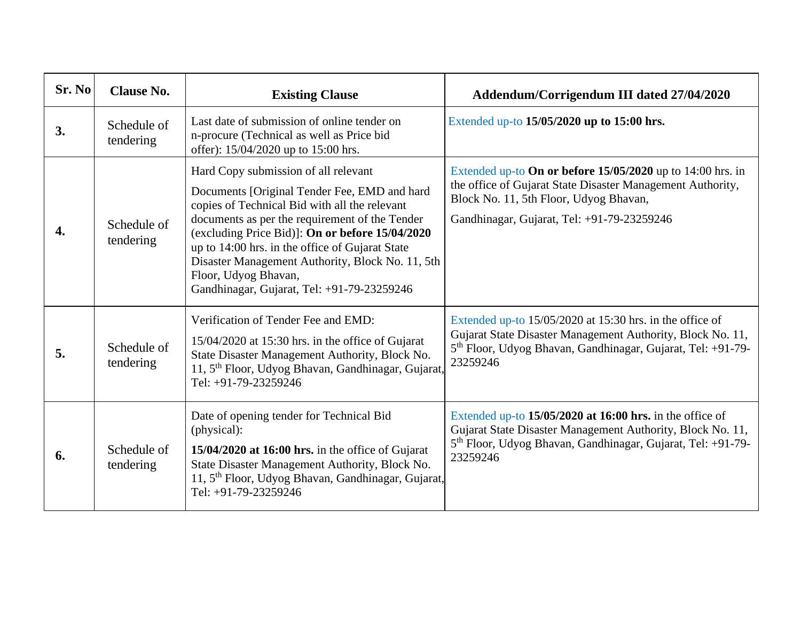| Sr. No | <b>Clause No.</b>        | <b>Existing Clause</b>                                                                                                                                                                                                                                                                                                                                                                                                  | Addendum/Corrigendum III dated 27/04/2020                                                                                                                                                                          |
|--------|--------------------------|-------------------------------------------------------------------------------------------------------------------------------------------------------------------------------------------------------------------------------------------------------------------------------------------------------------------------------------------------------------------------------------------------------------------------|--------------------------------------------------------------------------------------------------------------------------------------------------------------------------------------------------------------------|
| 3.     | Schedule of<br>tendering | Last date of submission of online tender on<br>n-procure (Technical as well as Price bid<br>offer): 15/04/2020 up to 15:00 hrs.                                                                                                                                                                                                                                                                                         | Extended up-to 15/05/2020 up to 15:00 hrs.                                                                                                                                                                         |
| 4.     | Schedule of<br>tendering | Hard Copy submission of all relevant<br>Documents [Original Tender Fee, EMD and hard<br>copies of Technical Bid with all the relevant<br>documents as per the requirement of the Tender<br>(excluding Price Bid)]: On or before 15/04/2020<br>up to 14:00 hrs. in the office of Gujarat State<br>Disaster Management Authority, Block No. 11, 5th<br>Floor, Udyog Bhavan,<br>Gandhinagar, Gujarat, Tel: +91-79-23259246 | Extended up-to On or before $15/05/2020$ up to 14:00 hrs. in<br>the office of Gujarat State Disaster Management Authority,<br>Block No. 11, 5th Floor, Udyog Bhavan,<br>Gandhinagar, Gujarat, Tel: +91-79-23259246 |
| 5.     | Schedule of<br>tendering | Verification of Tender Fee and EMD:<br>$15/04/2020$ at 15:30 hrs. in the office of Gujarat<br>State Disaster Management Authority, Block No.<br>11, 5 <sup>th</sup> Floor, Udyog Bhavan, Gandhinagar, Gujarat,<br>Tel: $+91-79-23259246$                                                                                                                                                                                | Extended up-to $15/05/2020$ at 15:30 hrs. in the office of<br>Gujarat State Disaster Management Authority, Block No. 11,<br>5th Floor, Udyog Bhavan, Gandhinagar, Gujarat, Tel: +91-79-<br>23259246                |
| 6.     | Schedule of<br>tendering | Date of opening tender for Technical Bid<br>(physical):<br>15/04/2020 at 16:00 hrs. in the office of Gujarat<br>State Disaster Management Authority, Block No.<br>11, 5 <sup>th</sup> Floor, Udyog Bhavan, Gandhinagar, Gujarat,<br>Tel: +91-79-23259246                                                                                                                                                                | Extended up-to $15/05/2020$ at 16:00 hrs. in the office of<br>Gujarat State Disaster Management Authority, Block No. 11,<br>5 <sup>th</sup> Floor, Udyog Bhavan, Gandhinagar, Gujarat, Tel: +91-79-<br>23259246    |